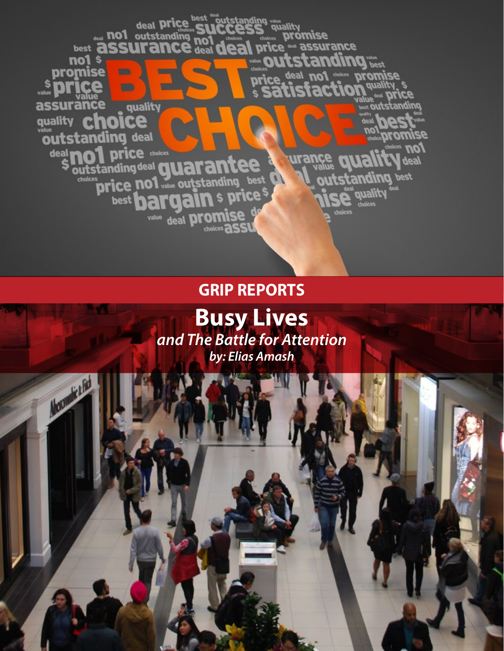

**GRIP REPORTS**

**Busy Lives**  *and The Battle for Attention by: Elias Amash*

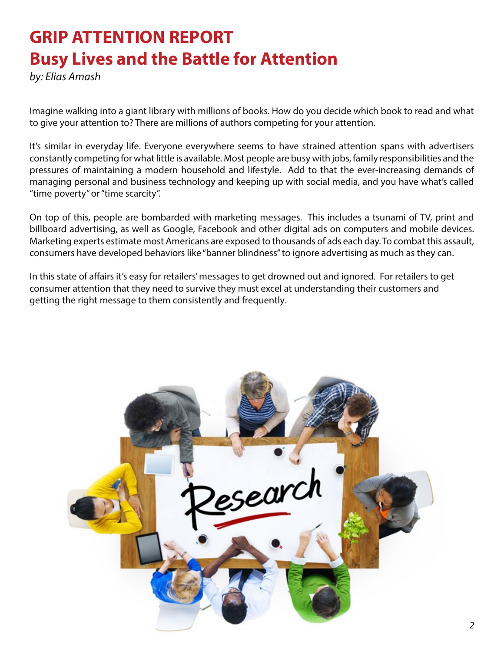## **GRIP ATTENTION REPORT Busy Lives and the Battle for Attention**

*by: Elias Amash*

Imagine walking into a giant library with millions of books. How do you decide which book to read and what to give your attention to? There are millions of authors competing for your attention.

It's similar in everyday life. Everyone everywhere seems to have strained attention spans with advertisers constantly competing for what little is available. Most people are busy with jobs, family responsibilities and the pressures of maintaining a modern household and lifestyle. Add to that the ever-increasing demands of managing personal and business technology and keeping up with social media, and you have what's called "time poverty" or "time scarcity".

On top of this, people are bombarded with marketing messages. This includes a tsunami of TV, print and billboard advertising, as well as Google, Facebook and other digital ads on computers and mobile devices. Marketing experts estimate most Americans are exposed to thousands of ads each day. To combat this assault, consumers have developed behaviors like "banner blindness" to ignore advertising as much as they can.

In this state of affairs it's easy for retailers' messages to get drowned out and ignored. For retailers to get consumer attention that they need to survive they must excel at understanding their customers and getting the right message to them consistently and frequently.

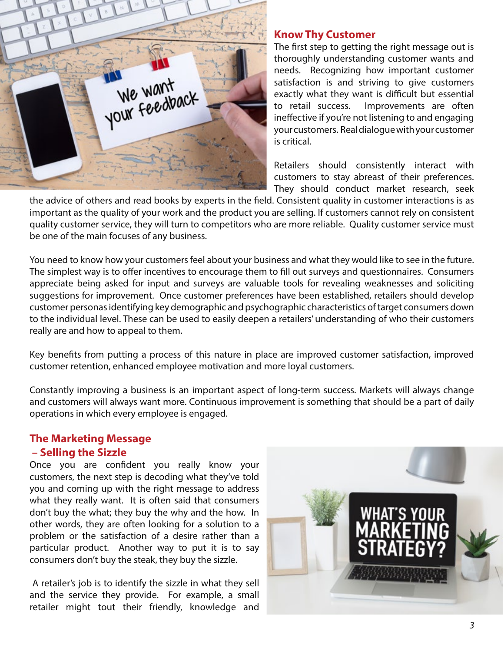

## **Know Thy Customer**

The first step to getting the right message out is thoroughly understanding customer wants and needs. Recognizing how important customer satisfaction is and striving to give customers exactly what they want is difficult but essential to retail success. Improvements are often ineffective if you're not listening to and engaging your customers. Real dialogue with your customer is critical.

Retailers should consistently interact with customers to stay abreast of their preferences. They should conduct market research, seek

the advice of others and read books by experts in the field. Consistent quality in customer interactions is as important as the quality of your work and the product you are selling. If customers cannot rely on consistent quality customer service, they will turn to competitors who are more reliable. Quality customer service must be one of the main focuses of any business.

You need to know how your customers feel about your business and what they would like to see in the future. The simplest way is to offer incentives to encourage them to fill out surveys and questionnaires. Consumers appreciate being asked for input and surveys are valuable tools for revealing weaknesses and soliciting suggestions for improvement. Once customer preferences have been established, retailers should develop customer personas identifying key demographic and psychographic characteristics of target consumers down to the individual level. These can be used to easily deepen a retailers' understanding of who their customers really are and how to appeal to them.

Key benefits from putting a process of this nature in place are improved customer satisfaction, improved customer retention, enhanced employee motivation and more loyal customers.

Constantly improving a business is an important aspect of long-term success. Markets will always change and customers will always want more. Continuous improvement is something that should be a part of daily operations in which every employee is engaged.

## **The Marketing Message – Selling the Sizzle**

Once you are confident you really know your customers, the next step is decoding what they've told you and coming up with the right message to address what they really want. It is often said that consumers don't buy the what; they buy the why and the how. In other words, they are often looking for a solution to a problem or the satisfaction of a desire rather than a particular product. Another way to put it is to say consumers don't buy the steak, they buy the sizzle.

 A retailer's job is to identify the sizzle in what they sell and the service they provide. For example, a small retailer might tout their friendly, knowledge and

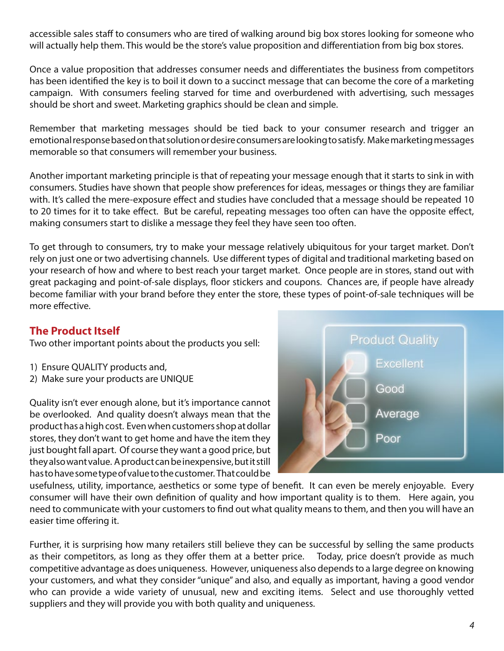accessible sales staff to consumers who are tired of walking around big box stores looking for someone who will actually help them. This would be the store's value proposition and differentiation from big box stores.

Once a value proposition that addresses consumer needs and differentiates the business from competitors has been identified the key is to boil it down to a succinct message that can become the core of a marketing campaign. With consumers feeling starved for time and overburdened with advertising, such messages should be short and sweet. Marketing graphics should be clean and simple.

Remember that marketing messages should be tied back to your consumer research and trigger an emotional response based on that solution or desire consumers are looking to satisfy. Make marketing messages memorable so that consumers will remember your business.

Another important marketing principle is that of repeating your message enough that it starts to sink in with consumers. Studies have shown that people show preferences for ideas, messages or things they are familiar with. It's called the mere-exposure effect and studies have concluded that a message should be repeated 10 to 20 times for it to take effect. But be careful, repeating messages too often can have the opposite effect, making consumers start to dislike a message they feel they have seen too often.

To get through to consumers, try to make your message relatively ubiquitous for your target market. Don't rely on just one or two advertising channels. Use different types of digital and traditional marketing based on your research of how and where to best reach your target market. Once people are in stores, stand out with great packaging and point-of-sale displays, floor stickers and coupons. Chances are, if people have already become familiar with your brand before they enter the store, these types of point-of-sale techniques will be more effective.

## **The Product Itself**

Two other important points about the products you sell:

- 1) Ensure QUALITY products and,
- 2) Make sure your products are UNIQUE

Quality isn't ever enough alone, but it's importance cannot be overlooked. And quality doesn't always mean that the product has a high cost. Even when customers shop at dollar stores, they don't want to get home and have the item they just bought fall apart. Of course they want a good price, but they also want value. A product can be inexpensive, but it still has to have some type of value to the customer. That could be



usefulness, utility, importance, aesthetics or some type of benefit. It can even be merely enjoyable. Every consumer will have their own definition of quality and how important quality is to them. Here again, you need to communicate with your customers to find out what quality means to them, and then you will have an easier time offering it.

Further, it is surprising how many retailers still believe they can be successful by selling the same products as their competitors, as long as they offer them at a better price. Today, price doesn't provide as much competitive advantage as does uniqueness. However, uniqueness also depends to a large degree on knowing your customers, and what they consider "unique" and also, and equally as important, having a good vendor who can provide a wide variety of unusual, new and exciting items. Select and use thoroughly vetted suppliers and they will provide you with both quality and uniqueness.